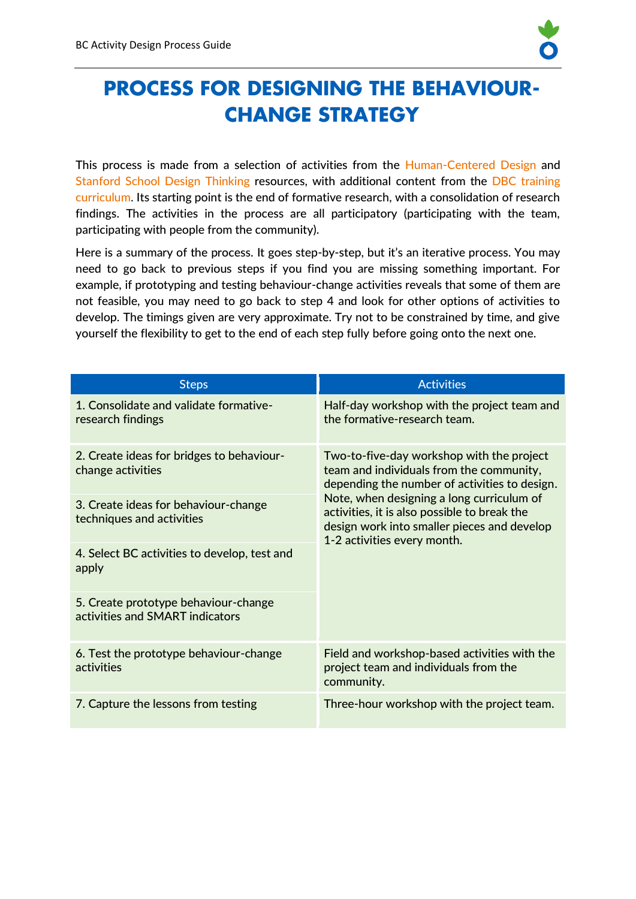

# **PROCESS FOR DESIGNING THE BEHAVIOUR-CHANGE STRATEGY**

This process is made from a selection of activities from the [Human-Centered Design](http://www.designkit.org/) and [Stanford School Design Thinking](https://dschool.stanford.edu/resources/design-thinking-bootleg) resources, with additional content from the [DBC training](https://www.fsnnetwork.org/designing-behavior-change-practical-field-guide) [curriculum](https://www.fsnnetwork.org/designing-behavior-change-practical-field-guide). Its starting point is the end of formative research, with a consolidation of research findings. The activities in the process are all participatory (participating with the team, participating with people from the community).

Here is a summary of the process. It goes step-by-step, but it's an iterative process. You may need to go back to previous steps if you find you are missing something important. For example, if prototyping and testing behaviour-change activities reveals that some of them are not feasible, you may need to go back to step 4 and look for other options of activities to develop. The timings given are very approximate. Try not to be constrained by time, and give yourself the flexibility to get to the end of each step fully before going onto the next one.

| <b>Steps</b>                                                                                                                                                                                                                                                            | <b>Activities</b>                                                                                                                                                                                                                                                                                                 |
|-------------------------------------------------------------------------------------------------------------------------------------------------------------------------------------------------------------------------------------------------------------------------|-------------------------------------------------------------------------------------------------------------------------------------------------------------------------------------------------------------------------------------------------------------------------------------------------------------------|
| 1. Consolidate and validate formative-<br>research findings                                                                                                                                                                                                             | Half-day workshop with the project team and<br>the formative-research team.                                                                                                                                                                                                                                       |
| 2. Create ideas for bridges to behaviour-<br>change activities<br>3. Create ideas for behaviour-change<br>techniques and activities<br>4. Select BC activities to develop, test and<br>apply<br>5. Create prototype behaviour-change<br>activities and SMART indicators | Two-to-five-day workshop with the project<br>team and individuals from the community,<br>depending the number of activities to design.<br>Note, when designing a long curriculum of<br>activities, it is also possible to break the<br>design work into smaller pieces and develop<br>1-2 activities every month. |
| 6. Test the prototype behaviour-change<br>activities                                                                                                                                                                                                                    | Field and workshop-based activities with the<br>project team and individuals from the<br>community.                                                                                                                                                                                                               |
| 7. Capture the lessons from testing                                                                                                                                                                                                                                     | Three-hour workshop with the project team.                                                                                                                                                                                                                                                                        |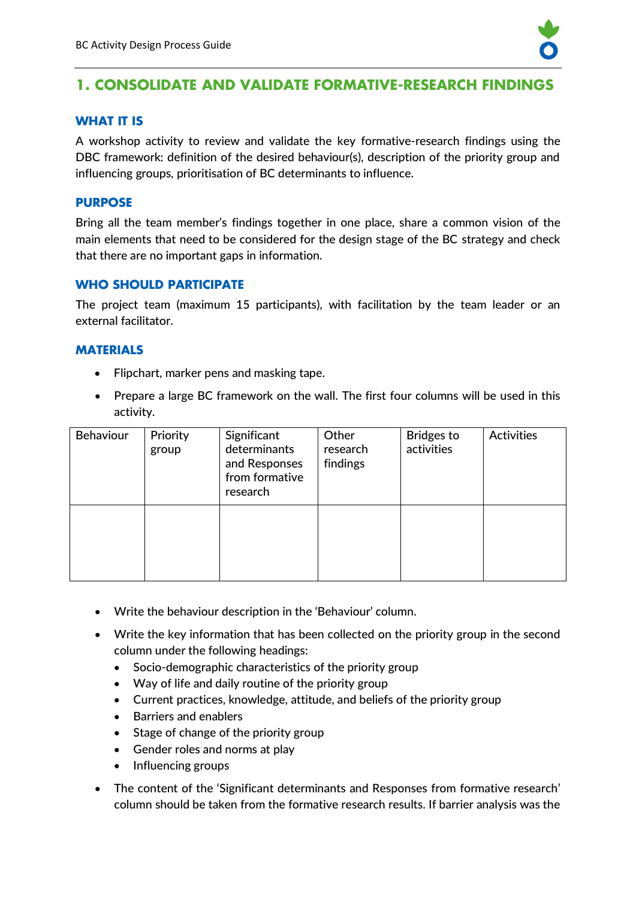

# **1. CONSOLIDATE AND VALIDATE FORMATIVE-RESEARCH FINDINGS**

# **WHAT IT IS**

A workshop activity to review and validate the key formative-research findings using the DBC framework: definition of the desired behaviour(s), description of the priority group and influencing groups, prioritisation of BC determinants to influence.

#### **PURPOSE**

Bring all the team member's findings together in one place, share a common vision of the main elements that need to be considered for the design stage of the BC strategy and check that there are no important gaps in information.

#### **WHO SHOULD PARTICIPATE**

The project team (maximum 15 participants), with facilitation by the team leader or an external facilitator.

#### **MATERIALS**

- Flipchart, marker pens and masking tape.
- Prepare a large BC framework on the wall. The first four columns will be used in this activity.

| <b>Behaviour</b> | Priority<br>group | Significant<br>determinants<br>and Responses<br>from formative<br>research | Other<br>research<br>findings | <b>Bridges to</b><br>activities | <b>Activities</b> |
|------------------|-------------------|----------------------------------------------------------------------------|-------------------------------|---------------------------------|-------------------|
|                  |                   |                                                                            |                               |                                 |                   |

- Write the behaviour description in the 'Behaviour' column.
- Write the key information that has been collected on the priority group in the second column under the following headings:
	- Socio-demographic characteristics of the priority group
	- Way of life and daily routine of the priority group
	- Current practices, knowledge, attitude, and beliefs of the priority group
	- Barriers and enablers
	- Stage of change of the priority group
	- Gender roles and norms at play
	- Influencing groups
- The content of the 'Significant determinants and Responses from formative research' column should be taken from the formative research results. If barrier analysis was the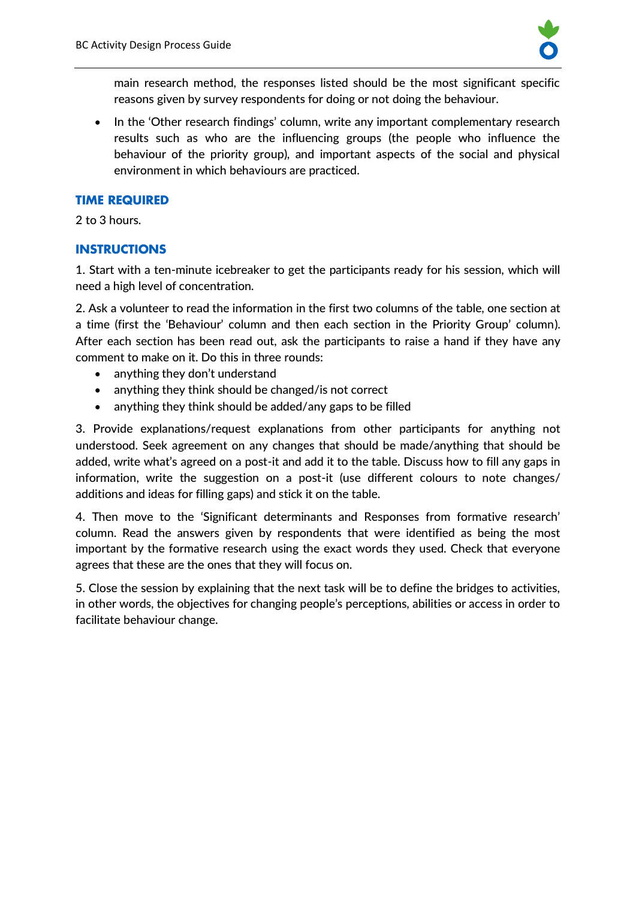

main research method, the responses listed should be the most significant specific reasons given by survey respondents for doing or not doing the behaviour.

• In the 'Other research findings' column, write any important complementary research results such as who are the influencing groups (the people who influence the behaviour of the priority group), and important aspects of the social and physical environment in which behaviours are practiced.

#### **TIME REQUIRED**

2 to 3 hours.

# **INSTRUCTIONS**

1. Start with a ten-minute icebreaker to get the participants ready for his session, which will need a high level of concentration.

2. Ask a volunteer to read the information in the first two columns of the table, one section at a time (first the 'Behaviour' column and then each section in the Priority Group' column). After each section has been read out, ask the participants to raise a hand if they have any comment to make on it. Do this in three rounds:

- anything they don't understand
- anything they think should be changed/is not correct
- anything they think should be added/any gaps to be filled

3. Provide explanations/request explanations from other participants for anything not understood. Seek agreement on any changes that should be made/anything that should be added, write what's agreed on a post-it and add it to the table. Discuss how to fill any gaps in information, write the suggestion on a post-it (use different colours to note changes/ additions and ideas for filling gaps) and stick it on the table.

4. Then move to the 'Significant determinants and Responses from formative research' column. Read the answers given by respondents that were identified as being the most important by the formative research using the exact words they used. Check that everyone agrees that these are the ones that they will focus on.

5. Close the session by explaining that the next task will be to define the bridges to activities, in other words, the objectives for changing people's perceptions, abilities or access in order to facilitate behaviour change.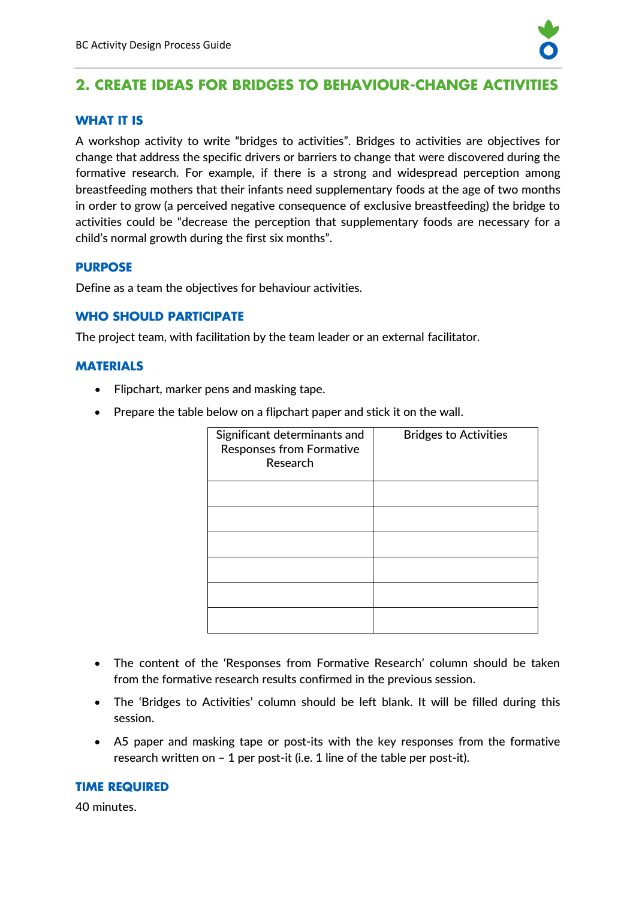

# **2. CREATE IDEAS FOR BRIDGES TO BEHAVIOUR-CHANGE ACTIVITIES**

#### **WHAT IT IS**

A workshop activity to write "bridges to activities". Bridges to activities are objectives for change that address the specific drivers or barriers to change that were discovered during the formative research. For example, if there is a strong and widespread perception among breastfeeding mothers that their infants need supplementary foods at the age of two months in order to grow (a perceived negative consequence of exclusive breastfeeding) the bridge to activities could be "decrease the perception that supplementary foods are necessary for a child's normal growth during the first six months".

#### **PURPOSE**

Define as a team the objectives for behaviour activities.

#### **WHO SHOULD PARTICIPATE**

The project team, with facilitation by the team leader or an external facilitator.

#### **MATERIALS**

- Flipchart, marker pens and masking tape.
- Prepare the table below on a flipchart paper and stick it on the wall.

| Significant determinants and<br><b>Responses from Formative</b><br>Research | <b>Bridges to Activities</b> |
|-----------------------------------------------------------------------------|------------------------------|
|                                                                             |                              |
|                                                                             |                              |
|                                                                             |                              |
|                                                                             |                              |
|                                                                             |                              |
|                                                                             |                              |

- The content of the 'Responses from Formative Research' column should be taken from the formative research results confirmed in the previous session.
- The 'Bridges to Activities' column should be left blank. It will be filled during this session.
- A5 paper and masking tape or post-its with the key responses from the formative research written on – 1 per post-it (i.e. 1 line of the table per post-it).

#### **TIME REQUIRED**

40 minutes.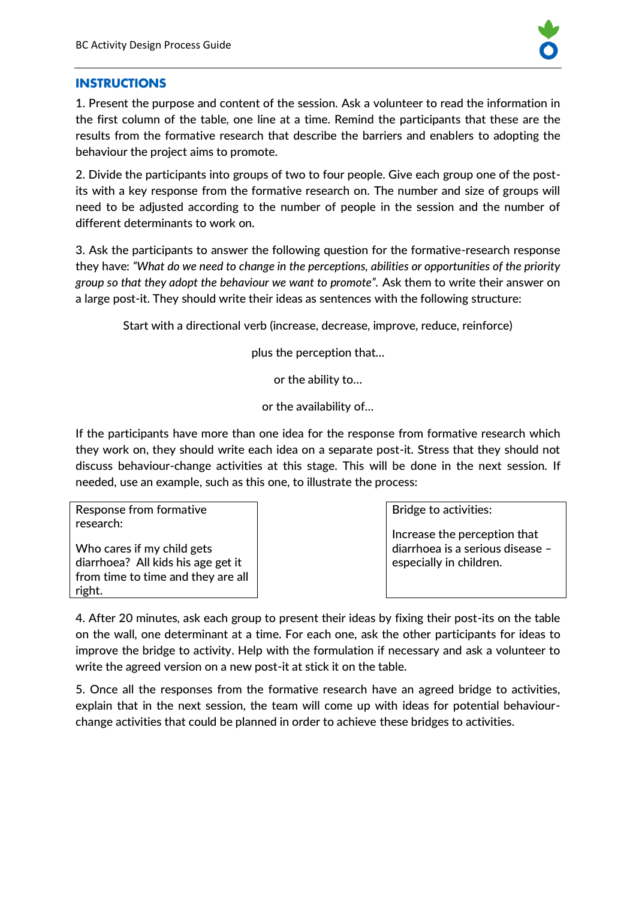

#### **INSTRUCTIONS**

1. Present the purpose and content of the session. Ask a volunteer to read the information in the first column of the table, one line at a time. Remind the participants that these are the results from the formative research that describe the barriers and enablers to adopting the behaviour the project aims to promote.

2. Divide the participants into groups of two to four people. Give each group one of the postits with a key response from the formative research on. The number and size of groups will need to be adjusted according to the number of people in the session and the number of different determinants to work on.

3. Ask the participants to answer the following question for the formative-research response they have: *"What do we need to change in the perceptions, abilities or opportunities of the priority group so that they adopt the behaviour we want to promote".* Ask them to write their answer on a large post-it. They should write their ideas as sentences with the following structure:

Start with a directional verb (increase, decrease, improve, reduce, reinforce)

plus the perception that…

or the ability to…

or the availability of…

If the participants have more than one idea for the response from formative research which they work on, they should write each idea on a separate post-it. Stress that they should not discuss behaviour-change activities at this stage. This will be done in the next session. If needed, use an example, such as this one, to illustrate the process:

Response from formative research:

Who cares if my child gets diarrhoea? All kids his age get it from time to time and they are all right.

Bridge to activities:

Increase the perception that diarrhoea is a serious disease – especially in children.

4. After 20 minutes, ask each group to present their ideas by fixing their post-its on the table on the wall, one determinant at a time. For each one, ask the other participants for ideas to improve the bridge to activity. Help with the formulation if necessary and ask a volunteer to write the agreed version on a new post-it at stick it on the table.

5. Once all the responses from the formative research have an agreed bridge to activities, explain that in the next session, the team will come up with ideas for potential behaviourchange activities that could be planned in order to achieve these bridges to activities.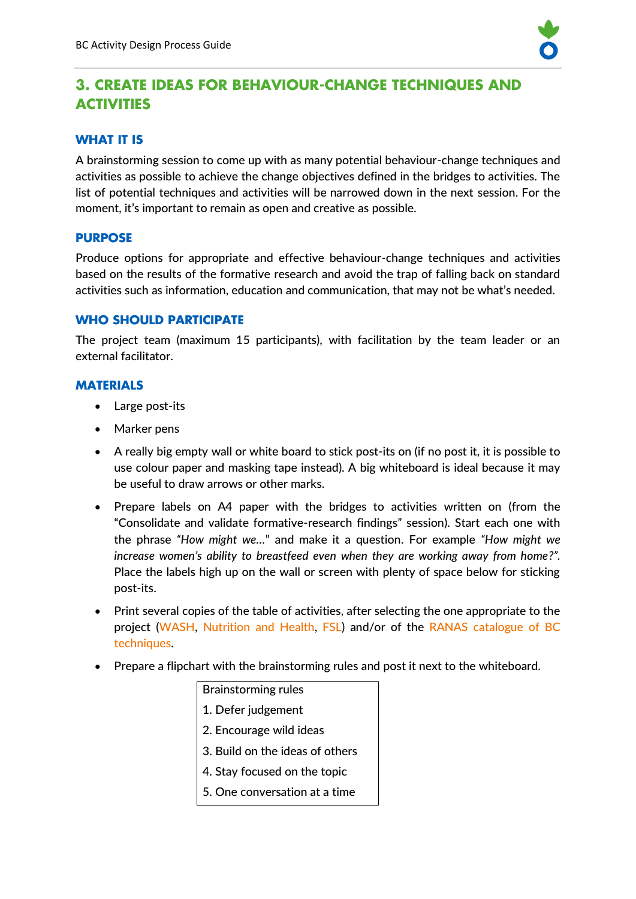

# **3. CREATE IDEAS FOR BEHAVIOUR-CHANGE TECHNIQUES AND ACTIVITIES**

#### **WHAT IT IS**

A brainstorming session to come up with as many potential behaviour-change techniques and activities as possible to achieve the change objectives defined in the bridges to activities. The list of potential techniques and activities will be narrowed down in the next session. For the moment, it's important to remain as open and creative as possible.

#### **PURPOSE**

Produce options for appropriate and effective behaviour-change techniques and activities based on the results of the formative research and avoid the trap of falling back on standard activities such as information, education and communication, that may not be what's needed.

#### **WHO SHOULD PARTICIPATE**

The project team (maximum 15 participants), with facilitation by the team leader or an external facilitator.

#### **MATERIALS**

- Large post-its
- Marker pens
- A really big empty wall or white board to stick post-its on (if no post it, it is possible to use colour paper and masking tape instead). A big whiteboard is ideal because it may be useful to draw arrows or other marks.
- Prepare labels on A4 paper with the bridges to activities written on (from the "Consolidate and validate formative-research findings" session). Start each one with the phrase *"How might we…*" and make it a question. For example *"How might we increase women's ability to breastfeed even when they are working away from home?".* Place the labels high up on the wall or screen with plenty of space below for sticking post-its.
- Print several copies of the table of activities, after selecting the one appropriate to the project [\(WASH,](https://yourwaytobehaviourchange.org/wp-content/uploads/2020/03/Guide-table-of-activities-by-determinant-WASH.pdf) [Nutrition and Health,](https://yourwaytobehaviourchange.org/wp-content/uploads/2020/03/Guide-table-of-activities-by-determinant-NUTHEALTH.pdf) [FSL\)](https://yourwaytobehaviourchange.org/wp-content/uploads/2020/03/Guide-table-of-activities-by-determinant-FSL.pdf) and/or of the [RANAS catalogue of BC](https://www.fsnnetwork.org/behavior-change-manual-wash-projects)  [techniques.](https://www.fsnnetwork.org/behavior-change-manual-wash-projects)
- Prepare a flipchart with the brainstorming rules and post it next to the whiteboard.

# Brainstorming rules 1. Defer judgement 2. Encourage wild ideas 3. Build on the ideas of others 4. Stay focused on the topic 5. One conversation at a time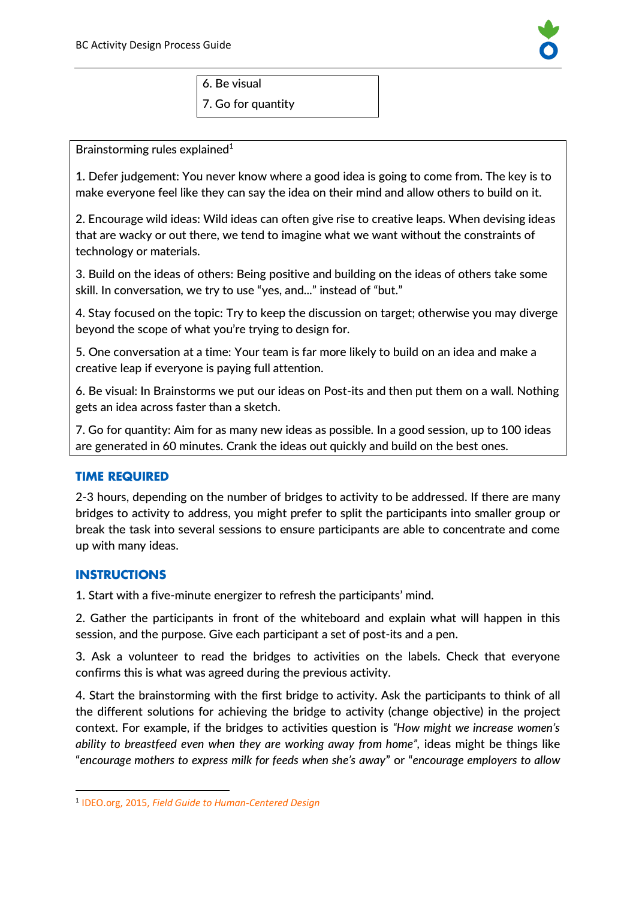

6. Be visual 7. Go for quantity

Brainstorming rules explained $1$ 

1. Defer judgement: You never know where a good idea is going to come from. The key is to make everyone feel like they can say the idea on their mind and allow others to build on it.

2. Encourage wild ideas: Wild ideas can often give rise to creative leaps. When devising ideas that are wacky or out there, we tend to imagine what we want without the constraints of technology or materials.

3. Build on the ideas of others: Being positive and building on the ideas of others take some skill. In conversation, we try to use "yes, and..." instead of "but."

4. Stay focused on the topic: Try to keep the discussion on target; otherwise you may diverge beyond the scope of what you're trying to design for.

5. One conversation at a time: Your team is far more likely to build on an idea and make a creative leap if everyone is paying full attention.

6. Be visual: In Brainstorms we put our ideas on Post-its and then put them on a wall. Nothing gets an idea across faster than a sketch.

7. Go for quantity: Aim for as many new ideas as possible. In a good session, up to 100 ideas are generated in 60 minutes. Crank the ideas out quickly and build on the best ones.

#### **TIME REQUIRED**

2-3 hours, depending on the number of bridges to activity to be addressed. If there are many bridges to activity to address, you might prefer to split the participants into smaller group or break the task into several sessions to ensure participants are able to concentrate and come up with many ideas.

#### **INSTRUCTIONS**

1. Start with a five-minute energizer to refresh the participants' mind.

2. Gather the participants in front of the whiteboard and explain what will happen in this session, and the purpose. Give each participant a set of post-its and a pen.

3. Ask a volunteer to read the bridges to activities on the labels. Check that everyone confirms this is what was agreed during the previous activity.

4. Start the brainstorming with the first bridge to activity. Ask the participants to think of all the different solutions for achieving the bridge to activity (change objective) in the project context. For example, if the bridges to activities question is *"How might we increase women's ability to breastfeed even when they are working away from home",* ideas might be things like "*encourage mothers to express milk for feeds when she's away*" or "*encourage employers to allow* 

<sup>1</sup> IDEO.org, 2015, *[Field Guide to Human-Centered Design](https://www.ideo.com/post/design-kit)*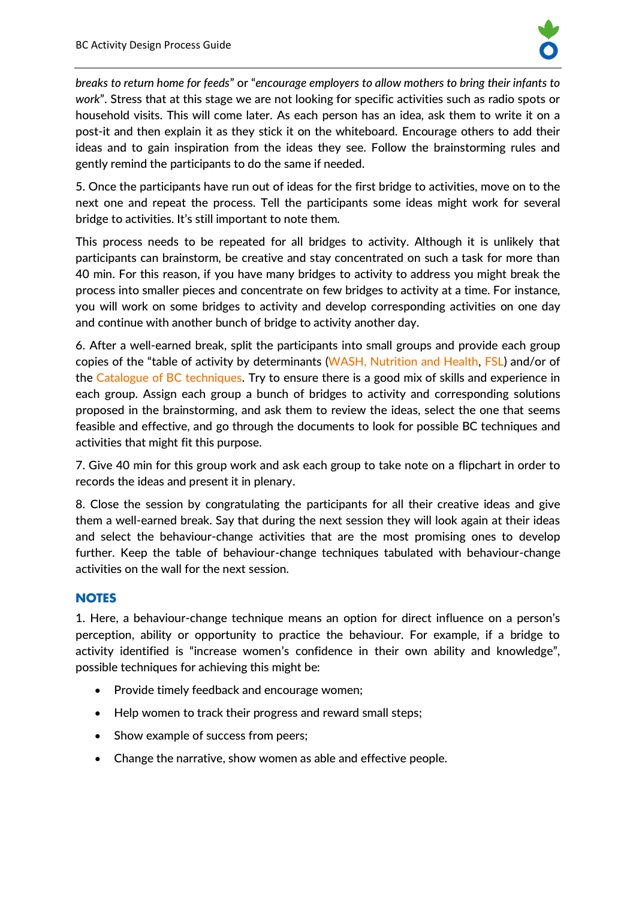

*breaks to return home for feeds*" or "*encourage employers to allow mothers to bring their infants to work*". Stress that at this stage we are not looking for specific activities such as radio spots or household visits. This will come later. As each person has an idea, ask them to write it on a post-it and then explain it as they stick it on the whiteboard. Encourage others to add their ideas and to gain inspiration from the ideas they see. Follow the brainstorming rules and gently remind the participants to do the same if needed.

5. Once the participants have run out of ideas for the first bridge to activities, move on to the next one and repeat the process. Tell the participants some ideas might work for several bridge to activities. It's still important to note them.

This process needs to be repeated for all bridges to activity. Although it is unlikely that participants can brainstorm, be creative and stay concentrated on such a task for more than 40 min. For this reason, if you have many bridges to activity to address you might break the process into smaller pieces and concentrate on few bridges to activity at a time. For instance, you will work on some bridges to activity and develop corresponding activities on one day and continue with another bunch of bridge to activity another day.

6. After a well-earned break, split the participants into small groups and provide each group copies of the "table of activity by determinants [\(WASH,](https://yourwaytobehaviourchange.org/wp-content/uploads/2020/03/Guide-table-of-activities-by-determinant-WASH.pdf) [Nutrition and Health,](https://yourwaytobehaviourchange.org/wp-content/uploads/2020/03/Guide-table-of-activities-by-determinant-NUTHEALTH.pdf) [FSL\)](https://yourwaytobehaviourchange.org/wp-content/uploads/2020/03/Guide-table-of-activities-by-determinant-FSL.pdf) and/or of the [Catalogue of BC techniques.](https://www.fsnnetwork.org/behavior-change-manual-wash-projects) Try to ensure there is a good mix of skills and experience in each group. Assign each group a bunch of bridges to activity and corresponding solutions proposed in the brainstorming, and ask them to review the ideas, select the one that seems feasible and effective, and go through the documents to look for possible BC techniques and activities that might fit this purpose.

7. Give 40 min for this group work and ask each group to take note on a flipchart in order to records the ideas and present it in plenary.

8. Close the session by congratulating the participants for all their creative ideas and give them a well-earned break. Say that during the next session they will look again at their ideas and select the behaviour-change activities that are the most promising ones to develop further. Keep the table of behaviour-change techniques tabulated with behaviour-change activities on the wall for the next session.

#### **NOTES**

1. Here, a behaviour-change technique means an option for direct influence on a person's perception, ability or opportunity to practice the behaviour. For example, if a bridge to activity identified is "increase women's confidence in their own ability and knowledge", possible techniques for achieving this might be:

- Provide timely feedback and encourage women;
- Help women to track their progress and reward small steps;
- Show example of success from peers;
- Change the narrative, show women as able and effective people.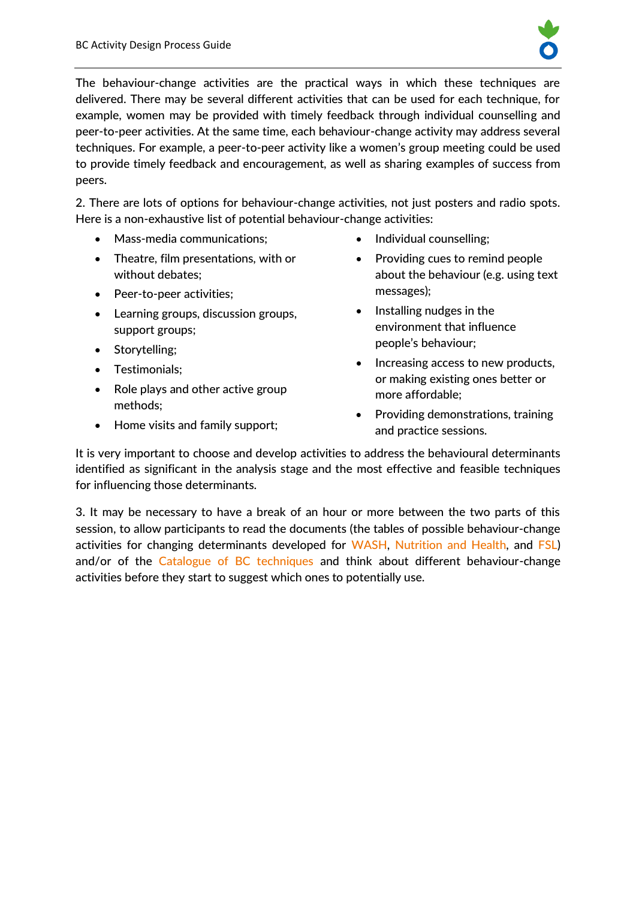

The behaviour-change activities are the practical ways in which these techniques are delivered. There may be several different activities that can be used for each technique, for example, women may be provided with timely feedback through individual counselling and peer-to-peer activities. At the same time, each behaviour-change activity may address several techniques. For example, a peer-to-peer activity like a women's group meeting could be used to provide timely feedback and encouragement, as well as sharing examples of success from peers.

2. There are lots of options for behaviour-change activities, not just posters and radio spots. Here is a non-exhaustive list of potential behaviour-change activities:

- Mass-media communications;
- Theatre, film presentations, with or without debates;
- Peer-to-peer activities;
- Learning groups, discussion groups, support groups;
- Storytelling;
- Testimonials;
- Role plays and other active group methods;
- Home visits and family support;
- Individual counselling;
- Providing cues to remind people about the behaviour (e.g. using text messages);
- Installing nudges in the environment that influence people's behaviour;
- Increasing access to new products, or making existing ones better or more affordable;
- Providing demonstrations, training and practice sessions.

It is very important to choose and develop activities to address the behavioural determinants identified as significant in the analysis stage and the most effective and feasible techniques for influencing those determinants.

3. It may be necessary to have a break of an hour or more between the two parts of this session, to allow participants to read the documents (the tables of possible behaviour-change activities for changing determinants developed for [WASH,](https://yourwaytobehaviourchange.org/wp-content/uploads/2020/03/Guide-table-of-activities-by-determinant-WASH.pdf) [Nutrition and Health,](https://yourwaytobehaviourchange.org/wp-content/uploads/2020/03/Guide-table-of-activities-by-determinant-NUTHEALTH.pdf) and [FSL\)](https://yourwaytobehaviourchange.org/wp-content/uploads/2020/03/Guide-table-of-activities-by-determinant-FSL.pdf) and/or of the [Catalogue of BC techniques](https://www.fsnnetwork.org/behavior-change-manual-wash-projects) and think about different behaviour-change activities before they start to suggest which ones to potentially use.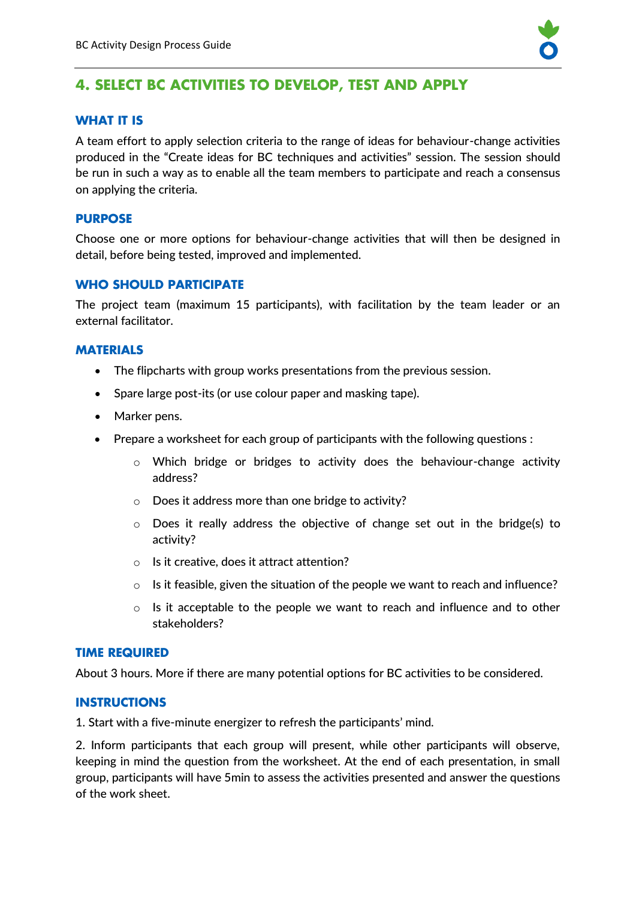

# **4. SELECT BC ACTIVITIES TO DEVELOP, TEST AND APPLY**

# **WHAT IT IS**

A team effort to apply selection criteria to the range of ideas for behaviour-change activities produced in the "Create ideas for BC techniques and activities" session. The session should be run in such a way as to enable all the team members to participate and reach a consensus on applying the criteria.

#### **PURPOSE**

Choose one or more options for behaviour-change activities that will then be designed in detail, before being tested, improved and implemented.

#### **WHO SHOULD PARTICIPATE**

The project team (maximum 15 participants), with facilitation by the team leader or an external facilitator.

#### **MATERIALS**

- The flipcharts with group works presentations from the previous session.
- Spare large post-its (or use colour paper and masking tape).
- Marker pens.
- Prepare a worksheet for each group of participants with the following questions :
	- $\circ$  Which bridge or bridges to activity does the behaviour-change activity address?
	- o Does it address more than one bridge to activity?
	- $\circ$  Does it really address the objective of change set out in the bridge(s) to activity?
	- o Is it creative, does it attract attention?
	- $\circ$  Is it feasible, given the situation of the people we want to reach and influence?
	- $\circ$  Is it acceptable to the people we want to reach and influence and to other stakeholders?

#### **TIME REQUIRED**

About 3 hours. More if there are many potential options for BC activities to be considered.

#### **INSTRUCTIONS**

1. Start with a five-minute energizer to refresh the participants' mind.

2. Inform participants that each group will present, while other participants will observe, keeping in mind the question from the worksheet. At the end of each presentation, in small group, participants will have 5min to assess the activities presented and answer the questions of the work sheet.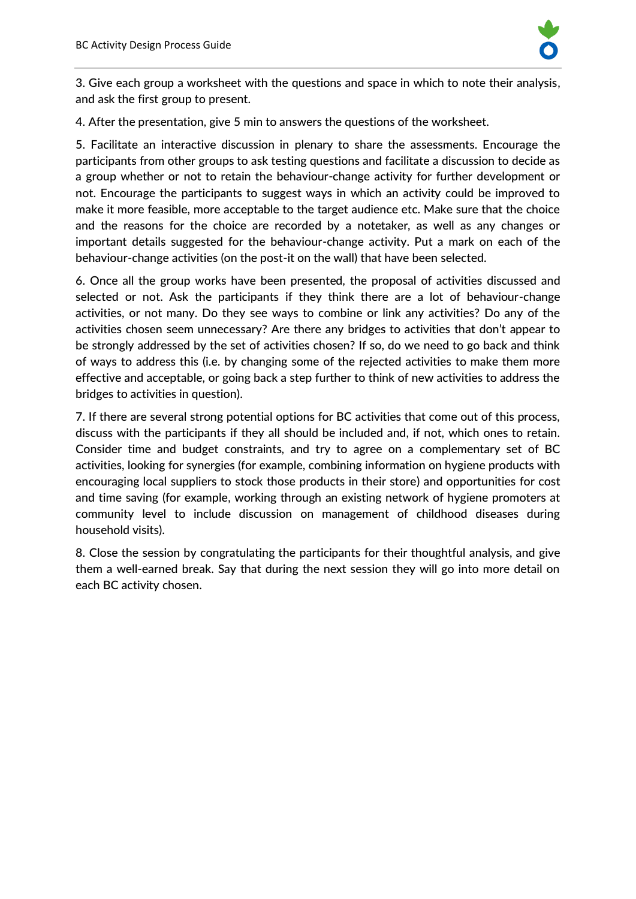

3. Give each group a worksheet with the questions and space in which to note their analysis, and ask the first group to present.

4. After the presentation, give 5 min to answers the questions of the worksheet.

5. Facilitate an interactive discussion in plenary to share the assessments. Encourage the participants from other groups to ask testing questions and facilitate a discussion to decide as a group whether or not to retain the behaviour-change activity for further development or not. Encourage the participants to suggest ways in which an activity could be improved to make it more feasible, more acceptable to the target audience etc. Make sure that the choice and the reasons for the choice are recorded by a notetaker, as well as any changes or important details suggested for the behaviour-change activity. Put a mark on each of the behaviour-change activities (on the post-it on the wall) that have been selected.

6. Once all the group works have been presented, the proposal of activities discussed and selected or not. Ask the participants if they think there are a lot of behaviour-change activities, or not many. Do they see ways to combine or link any activities? Do any of the activities chosen seem unnecessary? Are there any bridges to activities that don't appear to be strongly addressed by the set of activities chosen? If so, do we need to go back and think of ways to address this (i.e. by changing some of the rejected activities to make them more effective and acceptable, or going back a step further to think of new activities to address the bridges to activities in question).

7. If there are several strong potential options for BC activities that come out of this process, discuss with the participants if they all should be included and, if not, which ones to retain. Consider time and budget constraints, and try to agree on a complementary set of BC activities, looking for synergies (for example, combining information on hygiene products with encouraging local suppliers to stock those products in their store) and opportunities for cost and time saving (for example, working through an existing network of hygiene promoters at community level to include discussion on management of childhood diseases during household visits).

8. Close the session by congratulating the participants for their thoughtful analysis, and give them a well-earned break. Say that during the next session they will go into more detail on each BC activity chosen.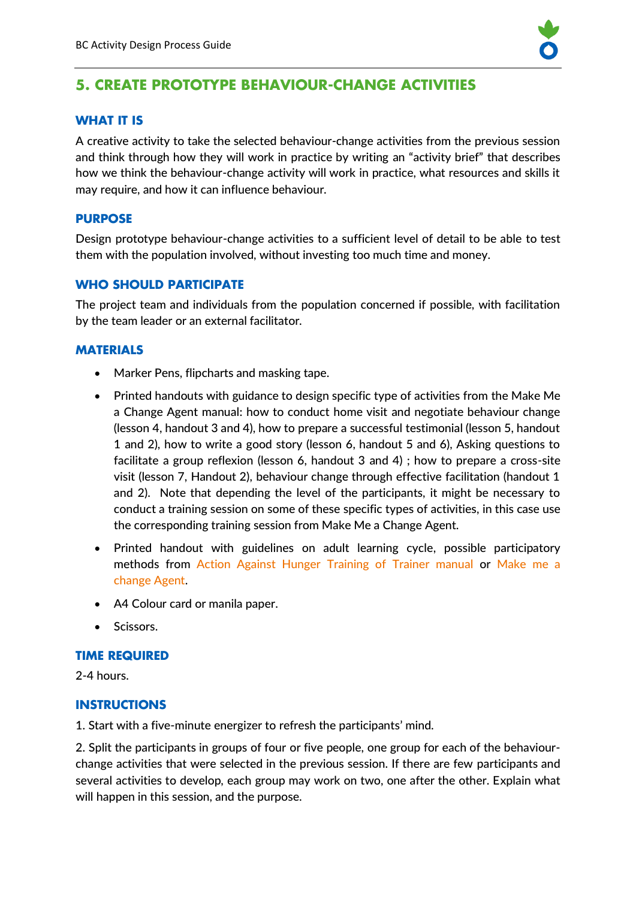

# **5. CREATE PROTOTYPE BEHAVIOUR-CHANGE ACTIVITIES**

# **WHAT IT IS**

A creative activity to take the selected behaviour-change activities from the previous session and think through how they will work in practice by writing an "activity brief" that describes how we think the behaviour-change activity will work in practice, what resources and skills it may require, and how it can influence behaviour.

# **PURPOSE**

Design prototype behaviour-change activities to a sufficient level of detail to be able to test them with the population involved, without investing too much time and money.

# **WHO SHOULD PARTICIPATE**

The project team and individuals from the population concerned if possible, with facilitation by the team leader or an external facilitator.

# **MATERIALS**

- Marker Pens, flipcharts and masking tape.
- Printed handouts with guidance to design specific type of activities from the Make Me a Change Agent manual: how to conduct home visit and negotiate behaviour change (lesson 4, handout 3 and 4), how to prepare a successful testimonial (lesson 5, handout 1 and 2), how to write a good story (lesson 6, handout 5 and 6), Asking questions to facilitate a group reflexion (lesson 6, handout 3 and 4) ; how to prepare a cross-site visit (lesson 7, Handout 2), behaviour change through effective facilitation (handout 1 and 2). Note that depending the level of the participants, it might be necessary to conduct a training session on some of these specific types of activities, in this case use the corresponding training session from Make Me a Change Agent.
- Printed handout with guidelines on adult learning cycle, possible participatory methods from [Action Against Hunger Training of Trainer manual](https://yourwaytobehaviourchange.org/wp-content/uploads/2020/03/ACF-Participant-Workbook.pdf) or [Make me a](https://www.fsnnetwork.org/make-me-change-agent-multisectoral-sbc-resource-community-workers-and-field-staff)  [change Agent.](https://www.fsnnetwork.org/make-me-change-agent-multisectoral-sbc-resource-community-workers-and-field-staff)
- A4 Colour card or manila paper.
- Scissors.

#### **TIME REQUIRED**

2-4 hours.

#### **INSTRUCTIONS**

1. Start with a five-minute energizer to refresh the participants' mind.

2. Split the participants in groups of four or five people, one group for each of the behaviourchange activities that were selected in the previous session. If there are few participants and several activities to develop, each group may work on two, one after the other. Explain what will happen in this session, and the purpose.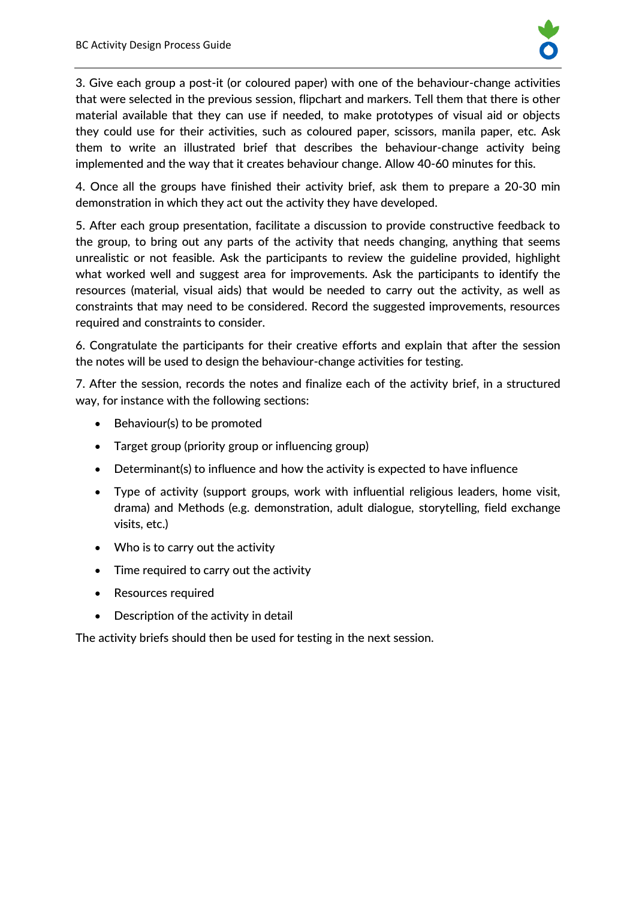

3. Give each group a post-it (or coloured paper) with one of the behaviour-change activities that were selected in the previous session, flipchart and markers. Tell them that there is other material available that they can use if needed, to make prototypes of visual aid or objects they could use for their activities, such as coloured paper, scissors, manila paper, etc. Ask them to write an illustrated brief that describes the behaviour-change activity being implemented and the way that it creates behaviour change. Allow 40-60 minutes for this.

4. Once all the groups have finished their activity brief, ask them to prepare a 20-30 min demonstration in which they act out the activity they have developed.

5. After each group presentation, facilitate a discussion to provide constructive feedback to the group, to bring out any parts of the activity that needs changing, anything that seems unrealistic or not feasible. Ask the participants to review the guideline provided, highlight what worked well and suggest area for improvements. Ask the participants to identify the resources (material, visual aids) that would be needed to carry out the activity, as well as constraints that may need to be considered. Record the suggested improvements, resources required and constraints to consider.

6. Congratulate the participants for their creative efforts and explain that after the session the notes will be used to design the behaviour-change activities for testing.

7. After the session, records the notes and finalize each of the activity brief, in a structured way, for instance with the following sections:

- Behaviour(s) to be promoted
- Target group (priority group or influencing group)
- Determinant(s) to influence and how the activity is expected to have influence
- Type of activity (support groups, work with influential religious leaders, home visit, drama) and Methods (e.g. demonstration, adult dialogue, storytelling, field exchange visits, etc.)
- Who is to carry out the activity
- Time required to carry out the activity
- Resources required
- Description of the activity in detail

The activity briefs should then be used for testing in the next session.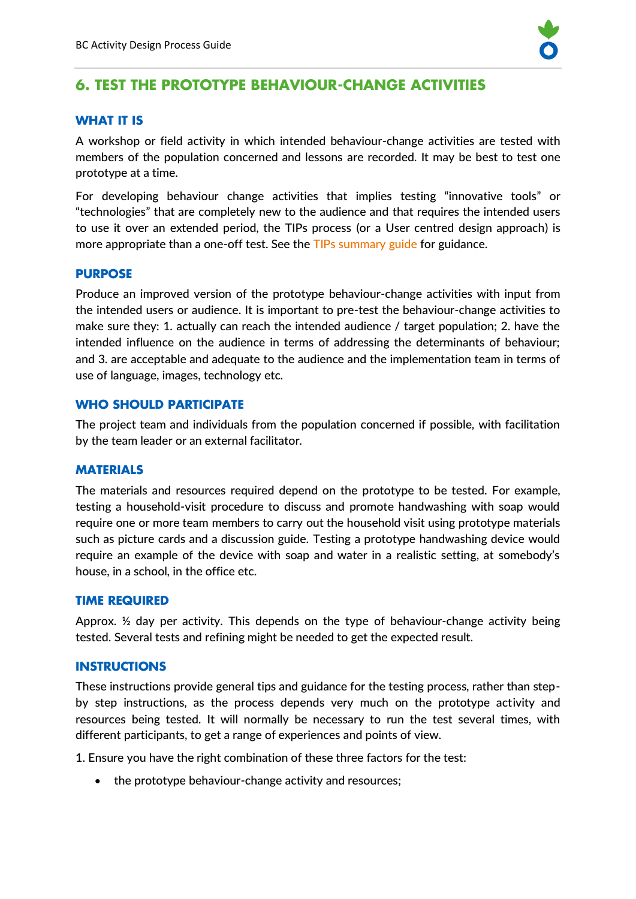

# **6. TEST THE PROTOTYPE BEHAVIOUR-CHANGE ACTIVITIES**

# **WHAT IT IS**

A workshop or field activity in which intended behaviour-change activities are tested with members of the population concerned and lessons are recorded. It may be best to test one prototype at a time.

For developing behaviour change activities that implies testing "innovative tools" or "technologies" that are completely new to the audience and that requires the intended users to use it over an extended period, the TIPs process (or a User centred design approach) is more appropriate than a one-off test. See the [TIPs summary guide](https://www.manoffgroup.com/wp-content/uploads/summarytips.pdf) for guidance.

#### **PURPOSE**

Produce an improved version of the prototype behaviour-change activities with input from the intended users or audience. It is important to pre-test the behaviour-change activities to make sure they: 1. actually can reach the intended audience / target population; 2. have the intended influence on the audience in terms of addressing the determinants of behaviour; and 3. are acceptable and adequate to the audience and the implementation team in terms of use of language, images, technology etc.

#### **WHO SHOULD PARTICIPATE**

The project team and individuals from the population concerned if possible, with facilitation by the team leader or an external facilitator.

#### **MATERIALS**

The materials and resources required depend on the prototype to be tested. For example, testing a household-visit procedure to discuss and promote handwashing with soap would require one or more team members to carry out the household visit using prototype materials such as picture cards and a discussion guide. Testing a prototype handwashing device would require an example of the device with soap and water in a realistic setting, at somebody's house, in a school, in the office etc.

#### **TIME REQUIRED**

Approx.  $\frac{1}{2}$  day per activity. This depends on the type of behaviour-change activity being tested. Several tests and refining might be needed to get the expected result.

#### **INSTRUCTIONS**

These instructions provide general tips and guidance for the testing process, rather than stepby step instructions, as the process depends very much on the prototype activity and resources being tested. It will normally be necessary to run the test several times, with different participants, to get a range of experiences and points of view.

1. Ensure you have the right combination of these three factors for the test:

• the prototype behaviour-change activity and resources;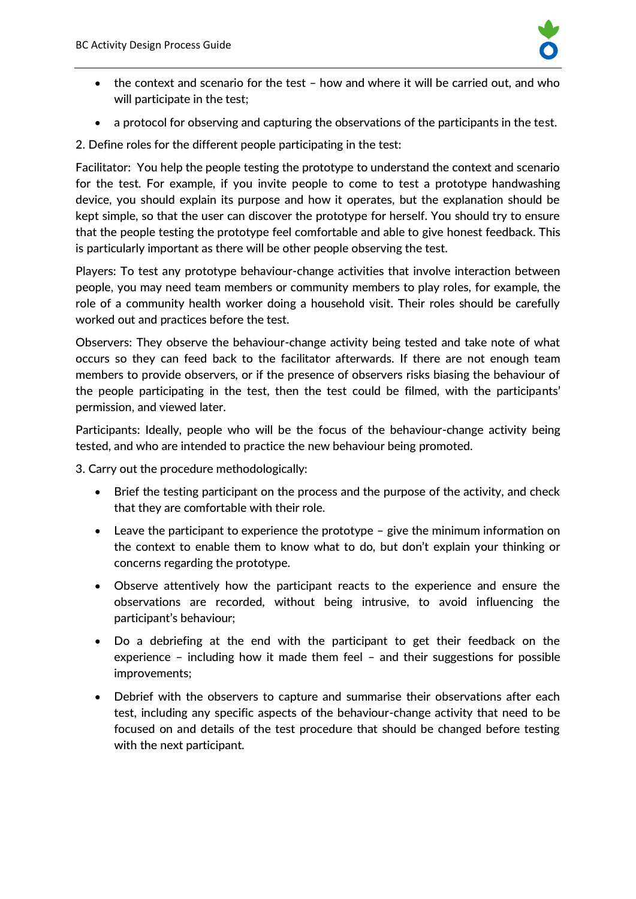

- the context and scenario for the test how and where it will be carried out, and who will participate in the test;
- a protocol for observing and capturing the observations of the participants in the test.
- 2. Define roles for the different people participating in the test:

Facilitator: You help the people testing the prototype to understand the context and scenario for the test. For example, if you invite people to come to test a prototype handwashing device, you should explain its purpose and how it operates, but the explanation should be kept simple, so that the user can discover the prototype for herself. You should try to ensure that the people testing the prototype feel comfortable and able to give honest feedback. This is particularly important as there will be other people observing the test.

Players: To test any prototype behaviour-change activities that involve interaction between people, you may need team members or community members to play roles, for example, the role of a community health worker doing a household visit. Their roles should be carefully worked out and practices before the test.

Observers: They observe the behaviour-change activity being tested and take note of what occurs so they can feed back to the facilitator afterwards. If there are not enough team members to provide observers, or if the presence of observers risks biasing the behaviour of the people participating in the test, then the test could be filmed, with the participants' permission, and viewed later.

Participants: Ideally, people who will be the focus of the behaviour-change activity being tested, and who are intended to practice the new behaviour being promoted.

3. Carry out the procedure methodologically:

- Brief the testing participant on the process and the purpose of the activity, and check that they are comfortable with their role.
- Leave the participant to experience the prototype give the minimum information on the context to enable them to know what to do, but don't explain your thinking or concerns regarding the prototype.
- Observe attentively how the participant reacts to the experience and ensure the observations are recorded, without being intrusive, to avoid influencing the participant's behaviour;
- Do a debriefing at the end with the participant to get their feedback on the experience – including how it made them feel – and their suggestions for possible improvements;
- Debrief with the observers to capture and summarise their observations after each test, including any specific aspects of the behaviour-change activity that need to be focused on and details of the test procedure that should be changed before testing with the next participant.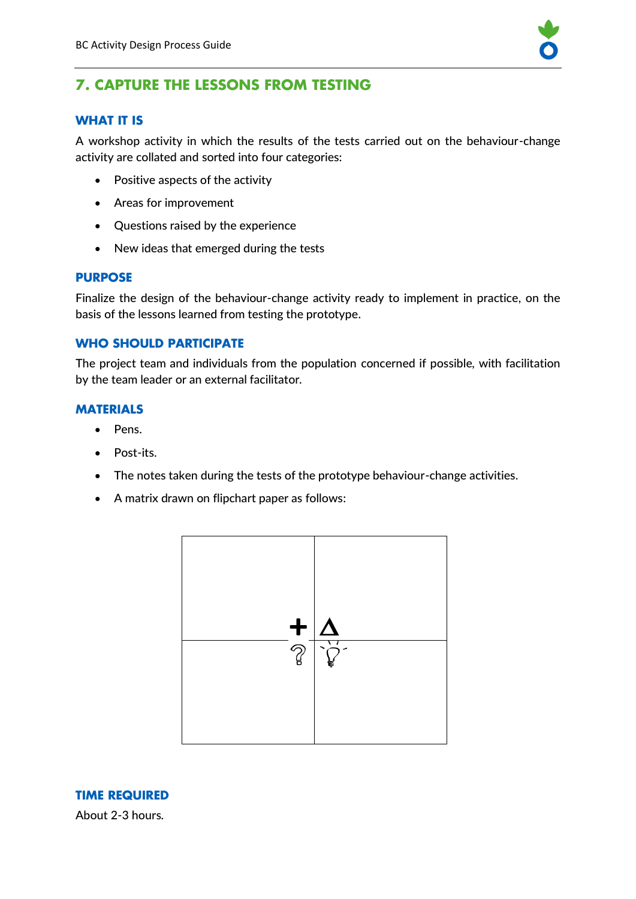

# **7. CAPTURE THE LESSONS FROM TESTING**

# **WHAT IT IS**

A workshop activity in which the results of the tests carried out on the behaviour-change activity are collated and sorted into four categories:

- Positive aspects of the activity
- Areas for improvement
- Questions raised by the experience
- New ideas that emerged during the tests

#### **PURPOSE**

Finalize the design of the behaviour-change activity ready to implement in practice, on the basis of the lessons learned from testing the prototype.

#### **WHO SHOULD PARTICIPATE**

The project team and individuals from the population concerned if possible, with facilitation by the team leader or an external facilitator.

#### **MATERIALS**

- Pens.
- Post-its.
- The notes taken during the tests of the prototype behaviour-change activities.
- A matrix drawn on flipchart paper as follows:



**TIME REQUIRED** About 2-3 hours.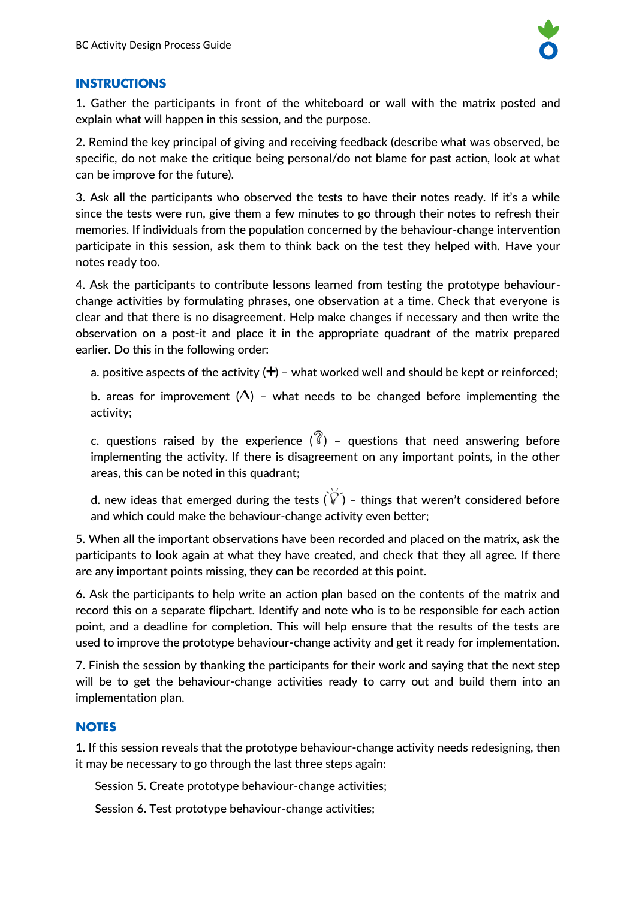

#### **INSTRUCTIONS**

1. Gather the participants in front of the whiteboard or wall with the matrix posted and explain what will happen in this session, and the purpose.

2. Remind the key principal of giving and receiving feedback (describe what was observed, be specific, do not make the critique being personal/do not blame for past action, look at what can be improve for the future).

3. Ask all the participants who observed the tests to have their notes ready. If it's a while since the tests were run, give them a few minutes to go through their notes to refresh their memories. If individuals from the population concerned by the behaviour-change intervention participate in this session, ask them to think back on the test they helped with. Have your notes ready too.

4. Ask the participants to contribute lessons learned from testing the prototype behaviourchange activities by formulating phrases, one observation at a time. Check that everyone is clear and that there is no disagreement. Help make changes if necessary and then write the observation on a post-it and place it in the appropriate quadrant of the matrix prepared earlier. Do this in the following order:

a. positive aspects of the activity  $( + )$  – what worked well and should be kept or reinforced;

b. areas for improvement  $(\Delta)$  – what needs to be changed before implementing the activity;

c. questions raised by the experience  $\binom{?}{ }$  – questions that need answering before implementing the activity. If there is disagreement on any important points, in the other areas, this can be noted in this quadrant;

d. new ideas that emerged during the tests  $\tilde{V}(\tilde{V})$  – things that weren't considered before and which could make the behaviour-change activity even better;

5. When all the important observations have been recorded and placed on the matrix, ask the participants to look again at what they have created, and check that they all agree. If there are any important points missing, they can be recorded at this point.

6. Ask the participants to help write an action plan based on the contents of the matrix and record this on a separate flipchart. Identify and note who is to be responsible for each action point, and a deadline for completion. This will help ensure that the results of the tests are used to improve the prototype behaviour-change activity and get it ready for implementation.

7. Finish the session by thanking the participants for their work and saying that the next step will be to get the behaviour-change activities ready to carry out and build them into an implementation plan.

# **NOTES**

1. If this session reveals that the prototype behaviour-change activity needs redesigning, then it may be necessary to go through the last three steps again:

Session 5. Create prototype behaviour-change activities;

Session 6. Test prototype behaviour-change activities;